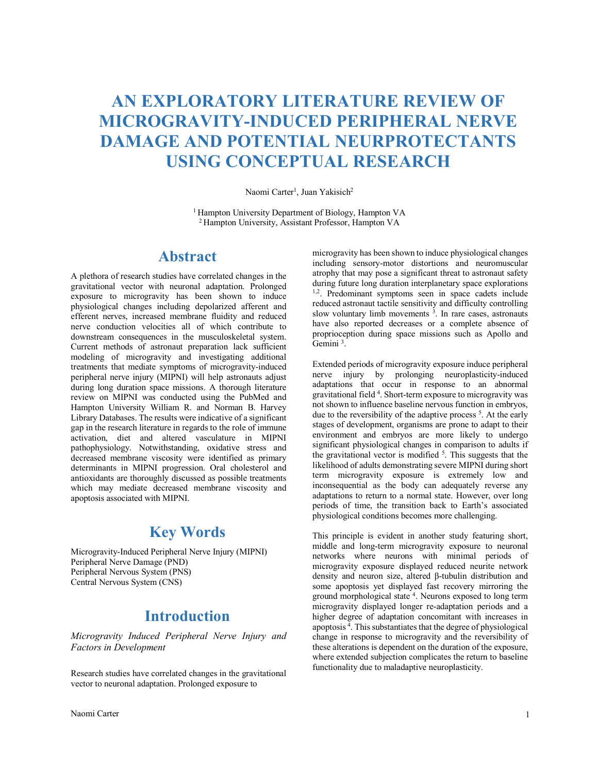# **AN EXPLORATORY LITERATURE REVIEW OF MICROGRAVITY-INDUCED PERIPHERAL NERVE DAMAGE AND POTENTIAL NEURPROTECTANTS USING CONCEPTUAL RESEARCH**

#### Naomi Carter<sup>1</sup>, Juan Yakisich<sup>2</sup>

1 Hampton University Department of Biology, Hampton VA 2 Hampton University, Assistant Professor, Hampton VA

### **Abstract**

A plethora of research studies have correlated changes in the gravitational vector with neuronal adaptation. Prolonged exposure to microgravity has been shown to induce physiological changes including depolarized afferent and efferent nerves, increased membrane fluidity and reduced nerve conduction velocities all of which contribute to downstream consequences in the musculoskeletal system. Current methods of astronaut preparation lack sufficient modeling of microgravity and investigating additional treatments that mediate symptoms of microgravity-induced peripheral nerve injury (MIPNI) will help astronauts adjust during long duration space missions. A thorough literature review on MIPNI was conducted using the PubMed and Hampton University William R. and Norman B. Harvey Library Databases. The results were indicative of a significant gap in the research literature in regards to the role of immune activation, diet and altered vasculature in MIPNI pathophysiology. Notwithstanding, oxidative stress and decreased membrane viscosity were identified as primary determinants in MIPNI progression. Oral cholesterol and antioxidants are thoroughly discussed as possible treatments which may mediate decreased membrane viscosity and apoptosis associated with MIPNI.

# **Key Words**

Microgravity-Induced Peripheral Nerve Injury (MIPNI) Peripheral Nerve Damage (PND) Peripheral Nervous System (PNS) Central Nervous System (CNS)

### **Introduction**

*Microgravity Induced Peripheral Nerve Injury and Factors in Development*

Research studies have correlated changes in the gravitational vector to neuronal adaptation. Prolonged exposure to

microgravity has been shown to induce physiological changes including sensory-motor distortions and neuromuscular atrophy that may pose a significant threat to astronaut safety during future long duration interplanetary space explorations 1,2. Predominant symptoms seen in space cadets include reduced astronaut tactile sensitivity and difficulty controlling slow voluntary limb movements<sup>3</sup>. In rare cases, astronauts have also reported decreases or a complete absence of proprioception during space missions such as Apollo and Gemini<sup>3</sup>.

Extended periods of microgravity exposure induce peripheral nerve injury by prolonging neuroplasticity-induced adaptations that occur in response to an abnormal gravitational field<sup>4</sup>. Short-term exposure to microgravity was not shown to influence baseline nervous function in embryos, due to the reversibility of the adaptive process  $<sup>5</sup>$ . At the early</sup> stages of development, organisms are prone to adapt to their environment and embryos are more likely to undergo significant physiological changes in comparison to adults if the gravitational vector is modified  $5$ . This suggests that the likelihood of adults demonstrating severe MIPNI during short term microgravity exposure is extremely low and inconsequential as the body can adequately reverse any adaptations to return to a normal state. However, over long periods of time, the transition back to Earth's associated physiological conditions becomes more challenging.

This principle is evident in another study featuring short, middle and long-term microgravity exposure to neuronal networks where neurons with minimal periods of microgravity exposure displayed reduced neurite network density and neuron size, altered β-tubulin distribution and some apoptosis yet displayed fast recovery mirroring the ground morphological state 4. Neurons exposed to long term microgravity displayed longer re-adaptation periods and a higher degree of adaptation concomitant with increases in apoptosis 4 . This substantiates that the degree of physiological change in response to microgravity and the reversibility of these alterations is dependent on the duration of the exposure, where extended subjection complicates the return to baseline functionality due to maladaptive neuroplasticity.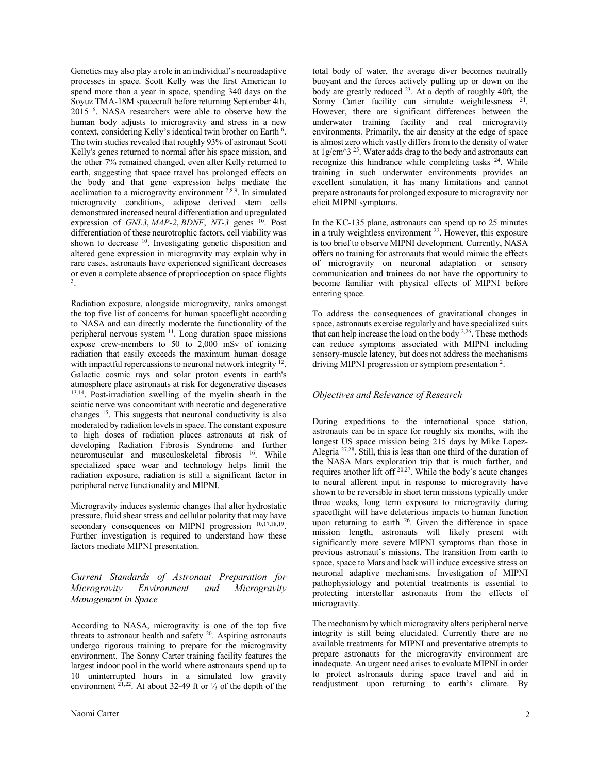Genetics may also play a role in an individual's neuroadaptive processes in space. Scott Kelly was the first American to spend more than a year in space, spending 340 days on the Soyuz TMA-18M spacecraft before returning September 4th, 2015 6. NASA researchers were able to observe how the human body adjusts to microgravity and stress in a new context, considering Kelly's identical twin brother on Earth 6. The twin studies revealed that roughly 93% of astronaut Scott Kelly's genes returned to normal after his space mission, and the other 7% remained changed, even after Kelly returned to earth, suggesting that space travel has prolonged effects on the body and that gene expression helps mediate the acclimation to a microgravity environment  $7,8,9$ . In simulated microgravity conditions, adipose derived stem cells demonstrated increased neural differentiation and upregulated expression of *GNL3*, *MAP-2*, *BDNF*, *NT-3* genes <sup>10</sup>. Post differentiation of these neurotrophic factors, cell viability was shown to decrease 10. Investigating genetic disposition and altered gene expression in microgravity may explain why in rare cases, astronauts have experienced significant decreases or even a complete absence of proprioception on space flights 3.

Radiation exposure, alongside microgravity, ranks amongst the top five list of concerns for human spaceflight according to NASA and can directly moderate the functionality of the peripheral nervous system 11. Long duration space missions expose crew-members to 50 to 2,000 mSv of ionizing radiation that easily exceeds the maximum human dosage with impactful repercussions to neuronal network integrity  $\frac{1}{2}$ . Galactic cosmic rays and solar proton events in earth's atmosphere place astronauts at risk for degenerative diseases <sup>13,14</sup>. Post-irradiation swelling of the myelin sheath in the sciatic nerve was concomitant with necrotic and degenerative changes 15. This suggests that neuronal conductivity is also moderated by radiation levels in space. The constant exposure to high doses of radiation places astronauts at risk of developing Radiation Fibrosis Syndrome and further neuromuscular and musculoskeletal fibrosis 16. While specialized space wear and technology helps limit the radiation exposure, radiation is still a significant factor in peripheral nerve functionality and MIPNI.

Microgravity induces systemic changes that alter hydrostatic pressure, fluid shear stress and cellular polarity that may have secondary consequences on MIPNI progression  $^{10,17,18,19}$ . Further investigation is required to understand how these factors mediate MIPNI presentation.

### *Current Standards of Astronaut Preparation for Microgravity Environment and Microgravity Management in Space*

According to NASA, microgravity is one of the top five threats to astronaut health and safety 20. Aspiring astronauts undergo rigorous training to prepare for the microgravity environment. The Sonny Carter training facility features the largest indoor pool in the world where astronauts spend up to 10 uninterrupted hours in a simulated low gravity environment  $2^{1,22}$ . At about 32-49 ft or ⅓ of the depth of the

total body of water, the average diver becomes neutrally buoyant and the forces actively pulling up or down on the body are greatly reduced <sup>23</sup>. At a depth of roughly 40ft, the Sonny Carter facility can simulate weightlessness <sup>24</sup>. However, there are significant differences between the underwater training facility and real microgravity environments. Primarily, the air density at the edge of space is almost zero which vastly differs fromto the density of water at  $1g/cm^3$  <sup>25</sup>. Water adds drag to the body and astronauts can recognize this hindrance while completing tasks 24. While training in such underwater environments provides an excellent simulation, it has many limitations and cannot prepare astronauts for prolonged exposure to microgravity nor elicit MIPNI symptoms.

In the KC-135 plane, astronauts can spend up to 25 minutes in a truly weightless environment 22. However, this exposure is too brief to observe MIPNI development. Currently, NASA offers no training for astronauts that would mimic the effects of microgravity on neuronal adaptation or sensory communication and trainees do not have the opportunity to become familiar with physical effects of MIPNI before entering space.

To address the consequences of gravitational changes in space, astronauts exercise regularly and have specialized suits that can help increase the load on the body  $2.26$ . These methods can reduce symptoms associated with MIPNI including sensory-muscle latency, but does not address the mechanisms driving MIPNI progression or symptom presentation 2.

### *Objectives and Relevance of Research*

During expeditions to the international space station, astronauts can be in space for roughly six months, with the longest US space mission being 215 days by Mike Lopez-Alegria 27,28 . Still, this is less than one third of the duration of the NASA Mars exploration trip that is much farther, and requires another lift off 20,27. While the body's acute changes to neural afferent input in response to microgravity have shown to be reversible in short term missions typically under three weeks, long term exposure to microgravity during spaceflight will have deleterious impacts to human function upon returning to earth  $26$ . Given the difference in space mission length, astronauts will likely present with significantly more severe MIPNI symptoms than those in previous astronaut's missions. The transition from earth to space, space to Mars and back will induce excessive stress on neuronal adaptive mechanisms. Investigation of MIPNI pathophysiology and potential treatments is essential to protecting interstellar astronauts from the effects of microgravity.

The mechanism by which microgravity alters peripheral nerve integrity is still being elucidated. Currently there are no available treatments for MIPNI and preventative attempts to prepare astronauts for the microgravity environment are inadequate. An urgent need arises to evaluate MIPNI in order to protect astronauts during space travel and aid in readjustment upon returning to earth's climate. By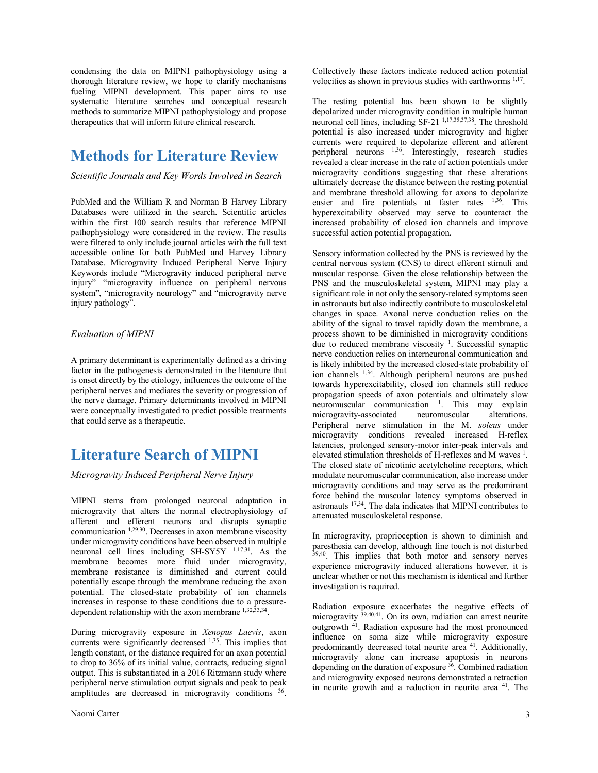condensing the data on MIPNI pathophysiology using a thorough literature review, we hope to clarify mechanisms fueling MIPNI development. This paper aims to use systematic literature searches and conceptual research methods to summarize MIPNI pathophysiology and propose therapeutics that will inform future clinical research.

# **Methods for Literature Review**

#### *Scientific Journals and Key Words Involved in Search*

PubMed and the William R and Norman B Harvey Library Databases were utilized in the search. Scientific articles within the first 100 search results that reference MIPNI pathophysiology were considered in the review. The results were filtered to only include journal articles with the full text accessible online for both PubMed and Harvey Library Database. Microgravity Induced Peripheral Nerve Injury Keywords include "Microgravity induced peripheral nerve injury" "microgravity influence on peripheral nervous system", "microgravity neurology" and "microgravity nerve injury pathology".

#### *Evaluation of MIPNI*

A primary determinant is experimentally defined as a driving factor in the pathogenesis demonstrated in the literature that is onset directly by the etiology, influences the outcome of the peripheral nerves and mediates the severity or progression of the nerve damage. Primary determinants involved in MIPNI were conceptually investigated to predict possible treatments that could serve as a therapeutic.

# **Literature Search of MIPNI**

#### *Microgravity Induced Peripheral Nerve Injury*

MIPNI stems from prolonged neuronal adaptation in microgravity that alters the normal electrophysiology of afferent and efferent neurons and disrupts synaptic communication 4,29,30. Decreases in axon membrane viscosity under microgravity conditions have been observed in multiple neuronal cell lines including SH-SY5Y 1,17,31 . As the membrane becomes more fluid under microgravity, membrane resistance is diminished and current could potentially escape through the membrane reducing the axon potential. The closed-state probability of ion channels increases in response to these conditions due to a pressuredependent relationship with the axon membrane 1,32,33,34 .

During microgravity exposure in *Xenopus Laevis*, axon currents were significantly decreased  $1,35$ . This implies that length constant, or the distance required for an axon potential to drop to 36% of its initial value, contracts, reducing signal output. This is substantiated in a 2016 Ritzmann study where peripheral nerve stimulation output signals and peak to peak amplitudes are decreased in microgravity conditions <sup>36</sup>. Collectively these factors indicate reduced action potential velocities as shown in previous studies with earthworms  $1,17$ .

The resting potential has been shown to be slightly depolarized under microgravity condition in multiple human neuronal cell lines, including SF-21<sup>1,17,35,37,38</sup>. The threshold potential is also increased under microgravity and higher currents were required to depolarize efferent and afferent peripheral neurons 1,36. Interestingly, research studies revealed a clear increase in the rate of action potentials under microgravity conditions suggesting that these alterations ultimately decrease the distance between the resting potential and membrane threshold allowing for axons to depolarize easier and fire potentials at faster rates  $1,36$ . This hyperexcitability observed may serve to counteract the increased probability of closed ion channels and improve successful action potential propagation.

Sensory information collected by the PNS is reviewed by the central nervous system (CNS) to direct efferent stimuli and muscular response. Given the close relationship between the PNS and the musculoskeletal system, MIPNI may play a significant role in not only the sensory-related symptoms seen in astronauts but also indirectly contribute to musculoskeletal changes in space. Axonal nerve conduction relies on the ability of the signal to travel rapidly down the membrane, a process shown to be diminished in microgravity conditions due to reduced membrane viscosity <sup>1</sup>. Successful synaptic nerve conduction relies on interneuronal communication and is likely inhibited by the increased closed-state probability of ion channels <sup>1,34</sup>. Although peripheral neurons are pushed towards hyperexcitability, closed ion channels still reduce propagation speeds of axon potentials and ultimately slow neuromuscular communication  $\frac{1}{1}$ . This may explain microgravity-associated neuromuscular alterations. Peripheral nerve stimulation in the M. *soleus* under microgravity conditions revealed increased H-reflex latencies, prolonged sensory-motor inter-peak intervals and elevated stimulation thresholds of H-reflexes and M waves <sup>1</sup>. The closed state of nicotinic acetylcholine receptors, which modulate neuromuscular communication, also increase under microgravity conditions and may serve as the predominant force behind the muscular latency symptoms observed in astronauts 17,34. The data indicates that MIPNI contributes to attenuated musculoskeletal response.

In microgravity, proprioception is shown to diminish and paresthesia can develop, although fine touch is not disturbed 39,40. This implies that both motor and sensory nerves experience microgravity induced alterations however, it is unclear whether or not this mechanism is identical and further investigation is required.

Radiation exposure exacerbates the negative effects of microgravity <sup>39,40,41</sup>. On its own, radiation can arrest neurite outgrowth <sup>41</sup>. Radiation exposure had the most pronounced influence on soma size while microgravity exposure predominantly decreased total neurite area <sup>41</sup>. Additionally, microgravity alone can increase apoptosis in neurons depending on the duration of exposure  $36$ . Combined radiation and microgravity exposed neurons demonstrated a retraction in neurite growth and a reduction in neurite area <sup>41</sup>. The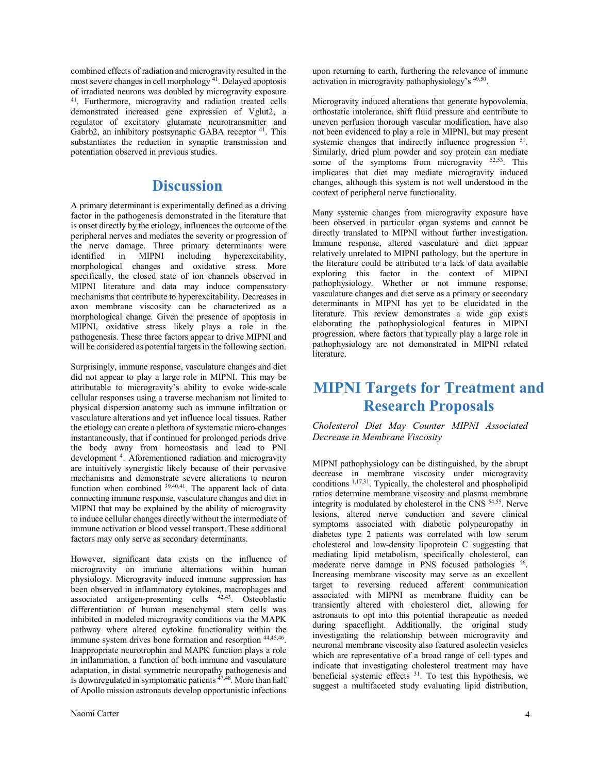combined effects of radiation and microgravity resulted in the most severe changes in cell morphology 41 . Delayed apoptosis of irradiated neurons was doubled by microgravity exposure 41 . Furthermore, microgravity and radiation treated cells demonstrated increased gene expression of Vglut2, a regulator of excitatory glutamate neurotransmitter and Gabrb2, an inhibitory postsynaptic GABA receptor <sup>41</sup>. This substantiates the reduction in synaptic transmission and potentiation observed in previous studies.

# **Discussion**

A primary determinant is experimentally defined as a driving factor in the pathogenesis demonstrated in the literature that is onset directly by the etiology, influences the outcome of the peripheral nerves and mediates the severity or progression of the nerve damage. Three primary determinants were identified in MIPNI including hyperexcitability, morphological changes and oxidative stress. More specifically, the closed state of ion channels observed in MIPNI literature and data may induce compensatory mechanisms that contribute to hyperexcitability. Decreases in axon membrane viscosity can be characterized as a morphological change. Given the presence of apoptosis in MIPNI, oxidative stress likely plays a role in the pathogenesis. These three factors appear to drive MIPNI and will be considered as potential targets in the following section.

Surprisingly, immune response, vasculature changes and diet did not appear to play a large role in MIPNI. This may be attributable to microgravity's ability to evoke wide-scale cellular responses using a traverse mechanism not limited to physical dispersion anatomy such as immune infiltration or vasculature alterations and yet influence local tissues. Rather the etiology can create a plethora of systematic micro-changes instantaneously, that if continued for prolonged periods drive the body away from homeostasis and lead to PNI development 4. Aforementioned radiation and microgravity are intuitively synergistic likely because of their pervasive mechanisms and demonstrate severe alterations to neuron function when combined 39,40,41. The apparent lack of data connecting immune response, vasculature changes and diet in MIPNI that may be explained by the ability of microgravity to induce cellular changes directly without the intermediate of immune activation or blood vessel transport. These additional factors may only serve as secondary determinants.

However, significant data exists on the influence of microgravity on immune alternations within human physiology. Microgravity induced immune suppression has been observed in inflammatory cytokines, macrophages and associated antigen-presenting cells  $42,43$ . Osteoblastic differentiation of human mesenchymal stem cells was inhibited in modeled microgravity conditions via the MAPK pathway where altered cytokine functionality within the immune system drives bone formation and resorption  $44,45,46$ . Inappropriate neurotrophin and MAPK function plays a role in inflammation, a function of both immune and vasculature adaptation, in distal symmetric neuropathy pathogenesis and is downregulated in symptomatic patients  $47,48$ . More than half of Apollo mission astronauts develop opportunistic infections

upon returning to earth, furthering the relevance of immune activation in microgravity pathophysiology's 49,50.

Microgravity induced alterations that generate hypovolemia, orthostatic intolerance, shift fluid pressure and contribute to uneven perfusion thorough vascular modification, have also not been evidenced to play a role in MIPNI, but may present systemic changes that indirectly influence progression  $51$ . Similarly, dried plum powder and soy protein can mediate some of the symptoms from microgravity  $52,53$ . This implicates that diet may mediate microgravity induced changes, although this system is not well understood in the context of peripheral nerve functionality.

Many systemic changes from microgravity exposure have been observed in particular organ systems and cannot be directly translated to MIPNI without further investigation. Immune response, altered vasculature and diet appear relatively unrelated to MIPNI pathology, but the aperture in the literature could be attributed to a lack of data available exploring this factor in the context of MIPNI pathophysiology. Whether or not immune response, vasculature changes and diet serve as a primary or secondary determinants in MIPNI has yet to be elucidated in the literature. This review demonstrates a wide gap exists elaborating the pathophysiological features in MIPNI progression, where factors that typically play a large role in pathophysiology are not demonstrated in MIPNI related literature.

# **MIPNI Targets for Treatment and Research Proposals**

*Cholesterol Diet May Counter MIPNI Associated Decrease in Membrane Viscosity* 

MIPNI pathophysiology can be distinguished, by the abrupt decrease in membrane viscosity under microgravity conditions  $1,17,31$ . Typically, the cholesterol and phospholipid ratios determine membrane viscosity and plasma membrane integrity is modulated by cholesterol in the CNS 54,55. Nerve lesions, altered nerve conduction and severe clinical symptoms associated with diabetic polyneuropathy in diabetes type 2 patients was correlated with low serum cholesterol and low-density lipoprotein C suggesting that mediating lipid metabolism, specifically cholesterol, can moderate nerve damage in PNS focused pathologies <sup>56</sup>. Increasing membrane viscosity may serve as an excellent target to reversing reduced afferent communication associated with MIPNI as membrane fluidity can be transiently altered with cholesterol diet, allowing for astronauts to opt into this potential therapeutic as needed during spaceflight. Additionally, the original study investigating the relationship between microgravity and neuronal membrane viscosity also featured asolectin vesicles which are representative of a broad range of cell types and indicate that investigating cholesterol treatment may have beneficial systemic effects  $31$ . To test this hypothesis, we suggest a multifaceted study evaluating lipid distribution,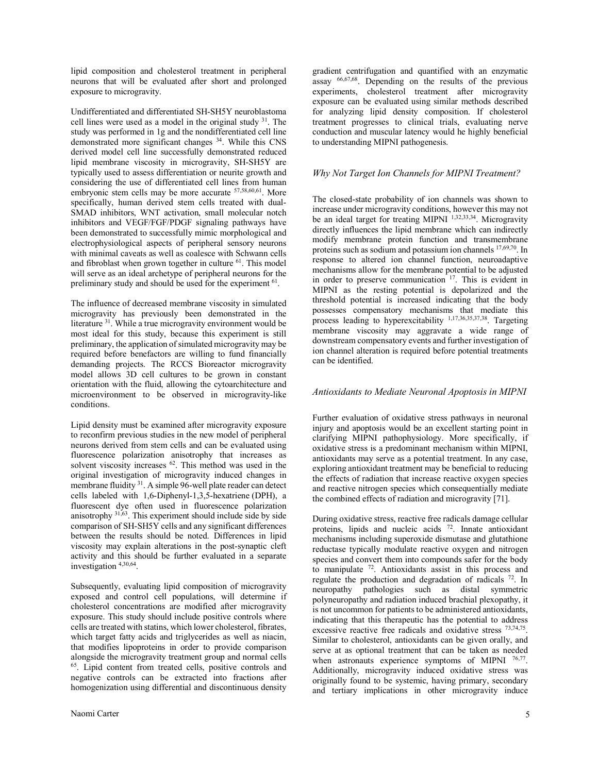lipid composition and cholesterol treatment in peripheral neurons that will be evaluated after short and prolonged exposure to microgravity.

Undifferentiated and differentiated SH-SH5Y neuroblastoma cell lines were used as a model in the original study  $31$ . The study was performed in 1g and the nondifferentiated cell line demonstrated more significant changes 34. While this CNS derived model cell line successfully demonstrated reduced lipid membrane viscosity in microgravity, SH-SH5Y are typically used to assess differentiation or neurite growth and considering the use of differentiated cell lines from human embryonic stem cells may be more accurate  $57,58,60,61$ . More specifically, human derived stem cells treated with dual-SMAD inhibitors, WNT activation, small molecular notch inhibitors and VEGF/FGF/PDGF signaling pathways have been demonstrated to successfully mimic morphological and electrophysiological aspects of peripheral sensory neurons with minimal caveats as well as coalesce with Schwann cells and fibroblast when grown together in culture <sup>61</sup>. This model will serve as an ideal archetype of peripheral neurons for the preliminary study and should be used for the experiment <sup>61</sup>.

The influence of decreased membrane viscosity in simulated microgravity has previously been demonstrated in the literature <sup>31</sup>. While a true microgravity environment would be most ideal for this study, because this experiment is still preliminary, the application of simulated microgravity may be required before benefactors are willing to fund financially demanding projects. The RCCS Bioreactor microgravity model allows 3D cell cultures to be grown in constant orientation with the fluid, allowing the cytoarchitecture and microenvironment to be observed in microgravity-like conditions.

Lipid density must be examined after microgravity exposure to reconfirm previous studies in the new model of peripheral neurons derived from stem cells and can be evaluated using fluorescence polarization anisotrophy that increases as solvent viscosity increases <sup>62</sup>. This method was used in the original investigation of microgravity induced changes in membrane fluidity 31. A simple 96-well plate reader can detect cells labeled with 1,6-Diphenyl-1,3,5-hexatriene (DPH), a fluorescent dye often used in fluorescence polarization anisotrophy <sup>31,63</sup>. This experiment should include side by side comparison of SH-SH5Y cells and any significant differences between the results should be noted. Differences in lipid viscosity may explain alterations in the post-synaptic cleft activity and this should be further evaluated in a separate investigation 4,30,64 .

Subsequently, evaluating lipid composition of microgravity exposed and control cell populations, will determine if cholesterol concentrations are modified after microgravity exposure. This study should include positive controls where cells are treated with statins, which lower cholesterol, fibrates, which target fatty acids and triglycerides as well as niacin, that modifies lipoproteins in order to provide comparison alongside the microgravity treatment group and normal cells 65 . Lipid content from treated cells, positive controls and negative controls can be extracted into fractions after homogenization using differential and discontinuous density

gradient centrifugation and quantified with an enzymatic assay 66,67,68. Depending on the results of the previous experiments, cholesterol treatment after microgravity exposure can be evaluated using similar methods described for analyzing lipid density composition. If cholesterol treatment progresses to clinical trials, evaluating nerve conduction and muscular latency would he highly beneficial to understanding MIPNI pathogenesis.

#### *Why Not Target Ion Channels for MIPNI Treatment?*

The closed-state probability of ion channels was shown to increase under microgravity conditions, however this may not be an ideal target for treating MIPNI <sup>1,32,33,34</sup>. Microgravity directly influences the lipid membrane which can indirectly modify membrane protein function and transmembrane proteins such as sodium and potassium ion channels 17,69,70 . In response to altered ion channel function, neuroadaptive mechanisms allow for the membrane potential to be adjusted in order to preserve communication 17. This is evident in MIPNI as the resting potential is depolarized and the threshold potential is increased indicating that the body possesses compensatory mechanisms that mediate this process leading to hyperexcitability 1,17,36,35,37,38. Targeting membrane viscosity may aggravate a wide range of downstream compensatory events and further investigation of ion channel alteration is required before potential treatments can be identified.

#### *Antioxidants to Mediate Neuronal Apoptosis in MIPNI*

Further evaluation of oxidative stress pathways in neuronal injury and apoptosis would be an excellent starting point in clarifying MIPNI pathophysiology. More specifically, if oxidative stress is a predominant mechanism within MIPNI, antioxidants may serve as a potential treatment. In any case, exploring antioxidant treatment may be beneficial to reducing the effects of radiation that increase reactive oxygen species and reactive nitrogen species which consequentially mediate the combined effects of radiation and microgravity [71].

During oxidative stress, reactive free radicals damage cellular proteins, lipids and nucleic acids <sup>72</sup>. Innate antioxidant mechanisms including superoxide dismutase and glutathione reductase typically modulate reactive oxygen and nitrogen species and convert them into compounds safer for the body to manipulate  $72$ . Antioxidants assist in this process and regulate the production and degradation of radicals <sup>72</sup>. In neuropathy pathologies such as distal symmetric polyneuropathy and radiation induced brachial plexopathy, it is not uncommon for patients to be administered antioxidants, indicating that this therapeutic has the potential to address excessive reactive free radicals and oxidative stress  $^{73,74,75}$ . Similar to cholesterol, antioxidants can be given orally, and serve at as optional treatment that can be taken as needed when astronauts experience symptoms of MIPNI  $^{76,77}$ . Additionally, microgravity induced oxidative stress was originally found to be systemic, having primary, secondary and tertiary implications in other microgravity induce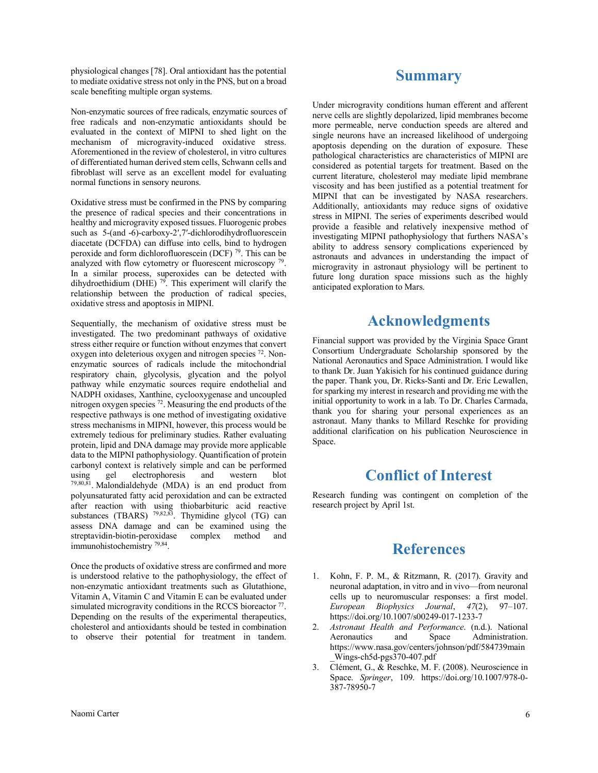physiological changes [78]. Oral antioxidant has the potential to mediate oxidative stress not only in the PNS, but on a broad scale benefiting multiple organ systems.

Non-enzymatic sources of free radicals, enzymatic sources of free radicals and non-enzymatic antioxidants should be evaluated in the context of MIPNI to shed light on the mechanism of microgravity-induced oxidative stress. Aforementioned in the review of cholesterol, in vitro cultures of differentiated human derived stem cells, Schwann cells and fibroblast will serve as an excellent model for evaluating normal functions in sensory neurons.

Oxidative stress must be confirmed in the PNS by comparing the presence of radical species and their concentrations in healthy and microgravity exposed tissues. Fluorogenic probes such as 5-(and -6)-carboxy-2',7'-dichlorodihydrofluorescein diacetate (DCFDA) can diffuse into cells, bind to hydrogen peroxide and form dichlorofluorescein (DCF) 79. This can be analyzed with flow cytometry or fluorescent microscopy In a similar process, superoxides can be detected with dihydroethidium (DHE)  $79$ . This experiment will clarify the relationship between the production of radical species, oxidative stress and apoptosis in MIPNI.

Sequentially, the mechanism of oxidative stress must be investigated. The two predominant pathways of oxidative stress either require or function without enzymes that convert oxygen into deleterious oxygen and nitrogen species<sup>72</sup>. Nonenzymatic sources of radicals include the mitochondrial respiratory chain, glycolysis, glycation and the polyol pathway while enzymatic sources require endothelial and NADPH oxidases, Xanthine, cyclooxygenase and uncoupled nitrogen oxygen species 72. Measuring the end products of the respective pathways is one method of investigating oxidative stress mechanisms in MIPNI, however, this process would be extremely tedious for preliminary studies. Rather evaluating protein, lipid and DNA damage may provide more applicable data to the MIPNI pathophysiology. Quantification of protein carbonyl context is relatively simple and can be performed using gel electrophoresis and western blot 79,80,81. Malondialdehyde (MDA) is an end product from polyunsaturated fatty acid peroxidation and can be extracted after reaction with using thiobarbituric acid reactive substances (TBARS)  $^{79,82,83}$ . Thymidine glycol (TG) can assess DNA damage and can be examined using the streptavidin-biotin-peroxidase complex method and immunohistochemistry 79,84.

Once the products of oxidative stress are confirmed and more is understood relative to the pathophysiology, the effect of non-enzymatic antioxidant treatments such as Glutathione, Vitamin A, Vitamin C and Vitamin E can be evaluated under simulated microgravity conditions in the RCCS bioreactor  $77$ . Depending on the results of the experimental therapeutics, cholesterol and antioxidants should be tested in combination to observe their potential for treatment in tandem.

### **Summary**

Under microgravity conditions human efferent and afferent nerve cells are slightly depolarized, lipid membranes become more permeable, nerve conduction speeds are altered and single neurons have an increased likelihood of undergoing apoptosis depending on the duration of exposure. These pathological characteristics are characteristics of MIPNI are considered as potential targets for treatment. Based on the current literature, cholesterol may mediate lipid membrane viscosity and has been justified as a potential treatment for MIPNI that can be investigated by NASA researchers. Additionally, antioxidants may reduce signs of oxidative stress in MIPNI. The series of experiments described would provide a feasible and relatively inexpensive method of investigating MIPNI pathophysiology that furthers NASA's ability to address sensory complications experienced by astronauts and advances in understanding the impact of microgravity in astronaut physiology will be pertinent to future long duration space missions such as the highly anticipated exploration to Mars.

# **Acknowledgments**

Financial support was provided by the Virginia Space Grant Consortium Undergraduate Scholarship sponsored by the National Aeronautics and Space Administration. I would like to thank Dr. Juan Yakisich for his continued guidance during the paper. Thank you, Dr. Ricks-Santi and Dr. Eric Lewallen, for sparking my interest in research and providing me with the initial opportunity to work in a lab. To Dr. Charles Carmada, thank you for sharing your personal experiences as an astronaut. Many thanks to Millard Reschke for providing additional clarification on his publication Neuroscience in Space.

# **Conflict of Interest**

Research funding was contingent on completion of the research project by April 1st.

### **References**

- 1. Kohn, F. P. M., & Ritzmann, R. (2017). Gravity and neuronal adaptation, in vitro and in vivo—from neuronal cells up to neuromuscular responses: a first model. *European Biophysics Journal*, *47*(2), 97–107. https://doi.org/10.1007/s00249-017-1233-7
- 2. *Astronaut Health and Performance*. (n.d.). National Aeronautics and Space Administration. https://www.nasa.gov/centers/johnson/pdf/584739main \_Wings-ch5d-pgs370-407.pdf
- 3. Clément, G., & Reschke, M. F. (2008). Neuroscience in Space. *Springer*, 109. https://doi.org/10.1007/978-0- 387-78950-7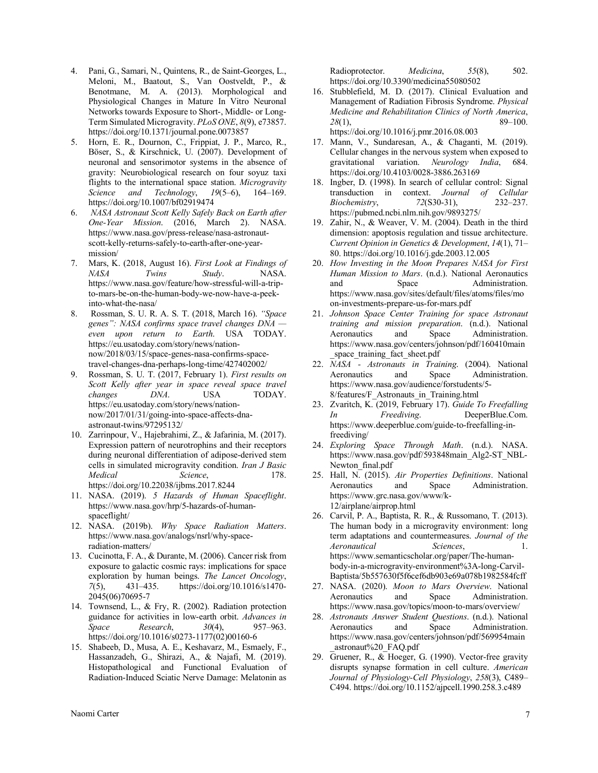- 4. Pani, G., Samari, N., Quintens, R., de Saint-Georges, L., Meloni, M., Baatout, S., Van Oostveldt, P., & Benotmane, M. A. (2013). Morphological and Physiological Changes in Mature In Vitro Neuronal Networks towards Exposure to Short-, Middle- or Long-Term Simulated Microgravity. *PLoS ONE*, *8*(9), e73857. https://doi.org/10.1371/journal.pone.0073857
- 5. Horn, E. R., Dournon, C., Frippiat, J. P., Marco, R., Böser, S., & Kirschnick, U. (2007). Development of neuronal and sensorimotor systems in the absence of gravity: Neurobiological research on four soyuz taxi flights to the international space station. *Microgravity Science and Technology*, *19*(5–6), 164–169. https://doi.org/10.1007/bf02919474
- 6. *NASA Astronaut Scott Kelly Safely Back on Earth after One-Year Mission*. (2016, March 2). NASA. https://www.nasa.gov/press-release/nasa-astronautscott-kelly-returns-safely-to-earth-after-one-yearmission/
- 7. Mars, K. (2018, August 16). *First Look at Findings of NASA Twins Study*. NASA. https://www.nasa.gov/feature/how-stressful-will-a-tripto-mars-be-on-the-human-body-we-now-have-a-peekinto-what-the-nasa/
- 8. Rossman, S. U. R. A. S. T. (2018, March 16). *"Space genes": NASA confirms space travel changes DNA even upon return to Earth*. USA TODAY. https://eu.usatoday.com/story/news/nationnow/2018/03/15/space-genes-nasa-confirms-spacetravel-changes-dna-perhaps-long-time/427402002/
- 9. Rossman, S. U. T. (2017, February 1). *First results on Scott Kelly after year in space reveal space travel changes DNA*. USA TODAY. https://eu.usatoday.com/story/news/nationnow/2017/01/31/going-into-space-affects-dnaastronaut-twins/97295132/
- 10. Zarrinpour, V., Hajebrahimi, Z., & Jafarinia, M. (2017). Expression pattern of neurotrophins and their receptors during neuronal differentiation of adipose-derived stem cells in simulated microgravity condition. *Iran J Basic Medical* Science, 178. https://doi.org/10.22038/ijbms.2017.8244
- 11. NASA. (2019). *5 Hazards of Human Spaceflight*. https://www.nasa.gov/hrp/5-hazards-of-humanspaceflight/
- 12. NASA. (2019b). *Why Space Radiation Matters*. https://www.nasa.gov/analogs/nsrl/why-spaceradiation-matters/
- 13. Cucinotta, F. A., & Durante, M. (2006). Cancer risk from exposure to galactic cosmic rays: implications for space exploration by human beings. *The Lancet Oncology*, *7*(5), 431–435. https://doi.org/10.1016/s1470- 2045(06)70695-7
- 14. Townsend, L., & Fry, R. (2002). Radiation protection guidance for activities in low-earth orbit. *Advances in Space Research*, *30*(4), 957–963. https://doi.org/10.1016/s0273-1177(02)00160-6
- 15. Shabeeb, D., Musa, A. E., Keshavarz, M., Esmaely, F., Hassanzadeh, G., Shirazi, A., & Najafi, M. (2019). Histopathological and Functional Evaluation of Radiation-Induced Sciatic Nerve Damage: Melatonin as

Radioprotector. *Medicina*, *55*(8), 502. https://doi.org/10.3390/medicina55080502

- 16. Stubblefield, M. D. (2017). Clinical Evaluation and Management of Radiation Fibrosis Syndrome. *Physical Medicine and Rehabilitation Clinics of North America*, *28*(1), 89–100. https://doi.org/10.1016/j.pmr.2016.08.003
- 17. Mann, V., Sundaresan, A., & Chaganti, M. (2019). Cellular changes in the nervous system when exposed to gravitational variation. *Neurology India*, 684. https://doi.org/10.4103/0028-3886.263169
- 18. Ingber, D. (1998). In search of cellular control: Signal transduction in context. *Journal of Cellular Biochemistry*, *72*(S30-31), 232–237. https://pubmed.ncbi.nlm.nih.gov/9893275/
- 19. Zahir, N., & Weaver, V. M. (2004). Death in the third dimension: apoptosis regulation and tissue architecture. *Current Opinion in Genetics & Development*, *14*(1), 71– 80. https://doi.org/10.1016/j.gde.2003.12.005
- 20. *How Investing in the Moon Prepares NASA for First Human Mission to Mars*. (n.d.). National Aeronautics and Space Administration. https://www.nasa.gov/sites/default/files/atoms/files/mo on-investments-prepare-us-for-mars.pdf
- 21. *Johnson Space Center Training for space Astronaut training and mission preparation*. (n.d.). National Aeronautics and Space Administration. https://www.nasa.gov/centers/johnson/pdf/160410main space training fact sheet.pdf
- 22. *NASA - Astronauts in Training*. (2004). National Aeronautics and Space Administration. https://www.nasa.gov/audience/forstudents/5- 8/features/F\_Astronauts\_in\_Training.html
- 23. Zvaritch, K. (2019, February 17). *Guide To Freefalling In Freediving*. DeeperBlue.Com. https://www.deeperblue.com/guide-to-freefalling-infreediving/
- 24. *Exploring Space Through Math*. (n.d.). NASA. https://www.nasa.gov/pdf/593848main\_Alg2-ST\_NBL-Newton final.pdf
- 25. Hall, N. (2015). *Air Properties Definitions*. National and Space Administration. https://www.grc.nasa.gov/www/k-12/airplane/airprop.html
- 26. Carvil, P. A., Baptista, R. R., & Russomano, T. (2013). The human body in a microgravity environment: long term adaptations and countermeasures. *Journal of the Aeronautical Sciences*, 1. https://www.semanticscholar.org/paper/The-humanbody-in-a-microgravity-environment%3A-long-Carvil-Baptista/5b557630f5f6cef6db903e69a078b1982584fcff
- 27. NASA. (2020). *Moon to Mars Overview*. National Aeronautics and Space Administration. https://www.nasa.gov/topics/moon-to-mars/overview/
- 28. *Astronauts Answer Student Questions*. (n.d.). National Aeronautics and Space Administration. https://www.nasa.gov/centers/johnson/pdf/569954main \_astronaut%20\_FAQ.pdf
- 29. Gruener, R., & Hoeger, G. (1990). Vector-free gravity disrupts synapse formation in cell culture. *American Journal of Physiology-Cell Physiology*, *258*(3), C489– C494. https://doi.org/10.1152/ajpcell.1990.258.3.c489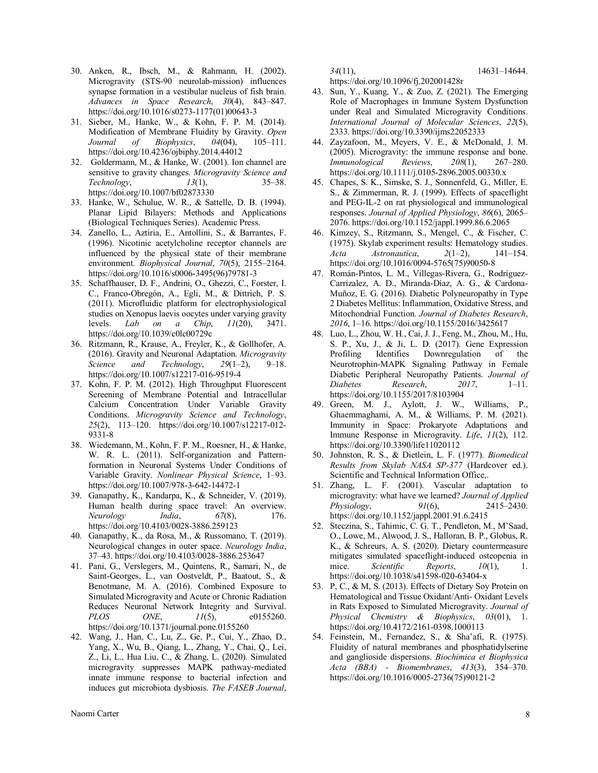- 30. Anken, R., Ibsch, M., & Rahmann, H. (2002). Microgravity (STS-90 neurolab-mission) influences synapse formation in a vestibular nucleus of fish brain. *Advances in Space Research*, *30*(4), 843–847. https://doi.org/10.1016/s0273-1177(01)00643-3
- 31. Sieber, M., Hanke, W., & Kohn, F. P. M. (2014). Modification of Membrane Fluidity by Gravity. *Open Journal of Biophysics*, *04*(04), 105–111. https://doi.org/10.4236/ojbiphy.2014.44012
- 32. Goldermann, M., & Hanke, W. (2001). Ion channel are sensitive to gravity changes. *Microgravity Science and Technology*, *13*(1), 35–38. https://doi.org/10.1007/bf02873330
- 33. Hanke, W., Schulue, W. R., & Sattelle, D. B. (1994). Planar Lipid Bilayers: Methods and Applications (Biological Techniques Series). Academic Press.
- 34. Zanello, L., Aztiria, E., Antollini, S., & Barrantes, F. (1996). Nicotinic acetylcholine receptor channels are influenced by the physical state of their membrane environment. *Biophysical Journal*, *70*(5), 2155–2164. https://doi.org/10.1016/s0006-3495(96)79781-3
- 35. Schaffhauser, D. F., Andrini, O., Ghezzi, C., Forster, I. C., Franco-Obregón, A., Egli, M., & Dittrich, P. S. (2011). Microfluidic platform for electrophysiological studies on Xenopus laevis oocytes under varying gravity levels. *Lab on a Chip*, *11*(20), 3471. https://doi.org/10.1039/c0lc00729c
- 36. Ritzmann, R., Krause, A., Freyler, K., & Gollhofer, A. (2016). Gravity and Neuronal Adaptation. *Microgravity Science and Technology*, *29*(1–2), 9–18. https://doi.org/10.1007/s12217-016-9519-4
- 37. Kohn, F. P. M. (2012). High Throughput Fluorescent Screening of Membrane Potential and Intracellular Calcium Concentration Under Variable Gravity Conditions. *Microgravity Science and Technology*, *25*(2), 113–120. https://doi.org/10.1007/s12217-012- 9331-8
- 38. Wiedemann, M., Kohn, F. P. M., Roesner, H., & Hanke, W. R. L. (2011). Self-organization and Patternformation in Neuronal Systems Under Conditions of Variable Gravity. *Nonlinear Physical Science*, 1–93. https://doi.org/10.1007/978-3-642-14472-1
- 39. Ganapathy, K., Kandarpa, K., & Schneider, V. (2019). Human health during space travel: An overview. *Neurology India*, *67*(8), 176. https://doi.org/10.4103/0028-3886.259123
- 40. Ganapathy, K., da Rosa, M., & Russomano, T. (2019). Neurological changes in outer space. *Neurology India*, 37–43. https://doi.org/10.4103/0028-3886.253647
- 41. Pani, G., Verslegers, M., Quintens, R., Samari, N., de Saint-Georges, L., van Oostveldt, P., Baatout, S., & Benotmane, M. A. (2016). Combined Exposure to Simulated Microgravity and Acute or Chronic Radiation Reduces Neuronal Network Integrity and Survival. *PLOS ONE*, *11*(5), e0155260. https://doi.org/10.1371/journal.pone.0155260
- 42. Wang, J., Han, C., Lu, Z., Ge, P., Cui, Y., Zhao, D., Yang, X., Wu, B., Qiang, L., Zhang, Y., Chai, Q., Lei, Z., Li, L., Hua Liu, C., & Zhang, L. (2020). Simulated microgravity suppresses MAPK pathway-mediated innate immune response to bacterial infection and induces gut microbiota dysbiosis. *The FASEB Journal*,

https://doi.org/10.1096/fj.202001428r

- 43. Sun, Y., Kuang, Y., & Zuo, Z. (2021). The Emerging Role of Macrophages in Immune System Dysfunction under Real and Simulated Microgravity Conditions. *International Journal of Molecular Sciences*, *22*(5), 2333. https://doi.org/10.3390/ijms22052333
- 44. Zayzafoon, M., Meyers, V. E., & McDonald, J. M. (2005). Microgravity: the immune response and bone. *Immunological Reviews*, *208*(1), 267–280. https://doi.org/10.1111/j.0105-2896.2005.00330.x
- 45. Chapes, S. K., Simske, S. J., Sonnenfeld, G., Miller, E. S., & Zimmerman, R. J. (1999). Effects of spaceflight and PEG-IL-2 on rat physiological and immunological responses. *Journal of Applied Physiology*, *86*(6), 2065– 2076. https://doi.org/10.1152/jappl.1999.86.6.2065
- 46. Kimzey, S., Ritzmann, S., Mengel, C., & Fischer, C. (1975). Skylab experiment results: Hematology studies. *Acta Astronautica*, *2*(1–2), 141–154. https://doi.org/10.1016/0094-5765(75)90050-8
- 47. Román-Pintos, L. M., Villegas-Rivera, G., Rodríguez-Carrizalez, A. D., Miranda-Díaz, A. G., & Cardona-Muñoz, E. G. (2016). Diabetic Polyneuropathy in Type 2 Diabetes Mellitus: Inflammation, Oxidative Stress, and Mitochondrial Function. *Journal of Diabetes Research*, *2016*, 1–16. https://doi.org/10.1155/2016/3425617
- 48. Luo, L., Zhou, W. H., Cai, J. J., Feng, M., Zhou, M., Hu, S. P., Xu, J., & Ji, L. D. (2017). Gene Expression Profiling Identifies Downregulation of the Neurotrophin-MAPK Signaling Pathway in Female Diabetic Peripheral Neuropathy Patients. *Journal of Diabetes Research*, *2017*, 1–11. https://doi.org/10.1155/2017/8103904
- 49. Green, M. J., Aylott, J. W., Williams, P., Ghaemmaghami, A. M., & Williams, P. M. (2021). Immunity in Space: Prokaryote Adaptations and Immune Response in Microgravity. *Life*, *11*(2), 112. https://doi.org/10.3390/life11020112
- 50. Johnston, R. S., & Dietlein, L. F. (1977). *Biomedical Results from Skylab NASA SP-377* (Hardcover ed.). Scientific and Technical Information Office,.
- 51. Zhang, L. F. (2001). Vascular adaptation to microgravity: what have we learned? *Journal of Applied Physiology*, *91*(6), 2415–2430. https://doi.org/10.1152/jappl.2001.91.6.2415
- 52. Steczina, S., Tahimic, C. G. T., Pendleton, M., M'Saad, O., Lowe, M., Alwood, J. S., Halloran, B. P., Globus, R. K., & Schreurs, A. S. (2020). Dietary countermeasure mitigates simulated spaceflight-induced osteopenia in mice. *Scientific* Reports, 10(1), 1. https://doi.org/10.1038/s41598-020-63404-x
- 53. P, C., & M, S. (2013). Effects of Dietary Soy Protein on Hematological and Tissue Oxidant/Anti- Oxidant Levels in Rats Exposed to Simulated Microgravity. *Journal of Physical Chemistry & Biophysics*, *03*(01), 1. https://doi.org/10.4172/2161-0398.1000113
- 54. Feinstein, M., Fernandez, S., & Sha'afi, R. (1975). Fluidity of natural membranes and phosphatidylserine and ganglioside dispersions. *Biochimica et Biophysica Acta (BBA) - Biomembranes*, *413*(3), 354–370. https://doi.org/10.1016/0005-2736(75)90121-2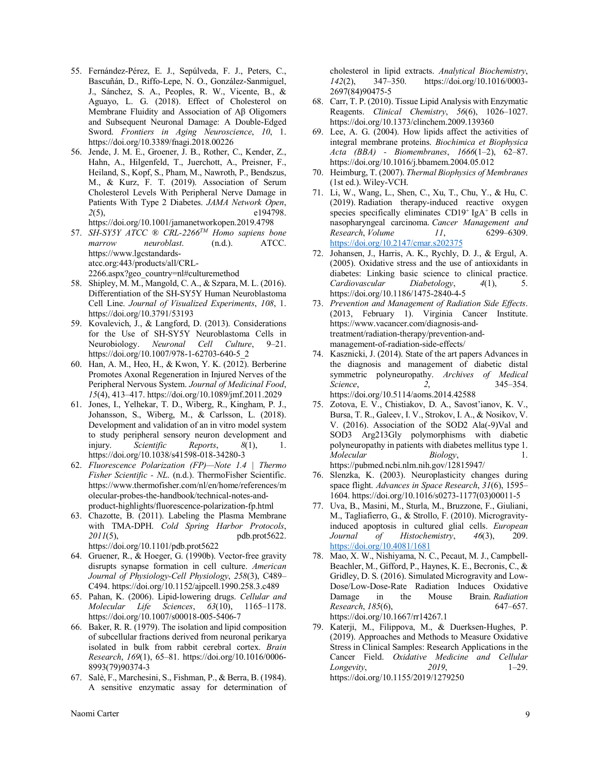- 55. Fernández-Pérez, E. J., Sepúlveda, F. J., Peters, C., Bascuñán, D., Riffo-Lepe, N. O., González-Sanmiguel, J., Sánchez, S. A., Peoples, R. W., Vicente, B., & Aguayo, L. G. (2018). Effect of Cholesterol on Membrane Fluidity and Association of Aβ Oligomers and Subsequent Neuronal Damage: A Double-Edged Sword. *Frontiers in Aging Neuroscience*, *10*, 1. https://doi.org/10.3389/fnagi.2018.00226
- 56. Jende, J. M. E., Groener, J. B., Rother, C., Kender, Z., Hahn, A., Hilgenfeld, T., Juerchott, A., Preisner, F., Heiland, S., Kopf, S., Pham, M., Nawroth, P., Bendszus, M., & Kurz, F. T. (2019). Association of Serum Cholesterol Levels With Peripheral Nerve Damage in Patients With Type 2 Diabetes. *JAMA Network Open*, *2*(5), e194798. https://doi.org/10.1001/jamanetworkopen.2019.4798
- 57. *SH-SY5Y ATCC ® CRL-2266TM Homo sapiens bone marrow neuroblast.* (n.d.). https://www.lgcstandardsatcc.org:443/products/all/CRL-2266.aspx?geo\_country=nl#culturemethod
- 58. Shipley, M. M., Mangold, C. A., & Szpara, M. L. (2016). Differentiation of the SH-SY5Y Human Neuroblastoma Cell Line. *Journal of Visualized Experiments*, *108*, 1. https://doi.org/10.3791/53193
- 59. Kovalevich, J., & Langford, D. (2013). Considerations for the Use of SH-SY5Y Neuroblastoma Cells in Neurobiology. *Neuronal Cell Culture*, 9–21. https://doi.org/10.1007/978-1-62703-640-5\_2
- 60. Han, A. M., Heo, H., & Kwon, Y. K. (2012). Berberine Promotes Axonal Regeneration in Injured Nerves of the Peripheral Nervous System. *Journal of Medicinal Food*, *15*(4), 413–417. https://doi.org/10.1089/jmf.2011.2029
- 61. Jones, I., Yelhekar, T. D., Wiberg, R., Kingham, P. J., Johansson, S., Wiberg, M., & Carlsson, L. (2018). Development and validation of an in vitro model system to study peripheral sensory neuron development and injury. *Scientific Reports*, *8*(1), 1. https://doi.org/10.1038/s41598-018-34280-3
- 62. *Fluorescence Polarization (FP)—Note 1.4 | Thermo Fisher Scientific - NL*. (n.d.). ThermoFisher Scientific. https://www.thermofisher.com/nl/en/home/references/m olecular-probes-the-handbook/technical-notes-andproduct-highlights/fluorescence-polarization-fp.html
- 63. Chazotte, B. (2011). Labeling the Plasma Membrane with TMA-DPH. *Cold Spring Harbor Protocols*, *2011*(5), pdb.prot5622. https://doi.org/10.1101/pdb.prot5622
- 64. Gruener, R., & Hoeger, G. (1990b). Vector-free gravity disrupts synapse formation in cell culture. *American Journal of Physiology-Cell Physiology*, *258*(3), C489– C494. https://doi.org/10.1152/ajpcell.1990.258.3.c489
- 65. Pahan, K. (2006). Lipid-lowering drugs. *Cellular and Molecular Life Sciences*, *63*(10), 1165–1178. https://doi.org/10.1007/s00018-005-5406-7
- 66. Baker, R. R. (1979). The isolation and lipid composition of subcellular fractions derived from neuronal perikarya isolated in bulk from rabbit cerebral cortex. *Brain Research*, *169*(1), 65–81. https://doi.org/10.1016/0006- 8993(79)90374-3
- 67. Salè, F., Marchesini, S., Fishman, P., & Berra, B. (1984). A sensitive enzymatic assay for determination of

cholesterol in lipid extracts. *Analytical Biochemistry*, *142*(2), 347–350. https://doi.org/10.1016/0003- 2697(84)90475-5

- 68. Carr, T. P. (2010). Tissue Lipid Analysis with Enzymatic Reagents. *Clinical Chemistry*, *56*(6), 1026–1027. https://doi.org/10.1373/clinchem.2009.139360
- 69. Lee, A. G. (2004). How lipids affect the activities of integral membrane proteins. *Biochimica et Biophysica Acta (BBA) - Biomembranes*, *1666*(1–2), 62–87. https://doi.org/10.1016/j.bbamem.2004.05.012
- 70. Heimburg, T. (2007). *Thermal Biophysics of Membranes* (1st ed.). Wiley-VCH.
- 71. Li, W., Wang, L., Shen, C., Xu, T., Chu, Y., & Hu, C. (2019). Radiation therapy-induced reactive oxygen species specifically eliminates  $CD19<sup>+</sup>$  IgA<sup>+</sup> B cells in nasopharyngeal carcinoma. *Cancer Management and Research*, *Volume 11*, 6299–6309. https://doi.org/10.2147/cmar.s202375
- 72. Johansen, J., Harris, A. K., Rychly, D. J., & Ergul, A. (2005). Oxidative stress and the use of antioxidants in diabetes: Linking basic science to clinical practice. *Cardiovascular Diabetology*, *4*(1), 5. https://doi.org/10.1186/1475-2840-4-5
- 73. *Prevention and Management of Radiation Side Effects*. (2013, February 1). Virginia Cancer Institute. https://www.vacancer.com/diagnosis-andtreatment/radiation-therapy/prevention-andmanagement-of-radiation-side-effects/
- 74. Kasznicki, J. (2014). State of the art papers Advances in the diagnosis and management of diabetic distal symmetric polyneuropathy. *Archives of Medical Science*, *2*, 345–354. https://doi.org/10.5114/aoms.2014.42588
- 75. Zotova, E. V., Chistiakov, D. A., Savost'ianov, K. V., Bursa, T. R., Galeev, I. V., Strokov, I. A., & Nosikov, V. V. (2016). Association of the SOD2 Ala(-9)Val and SOD3 Arg213Gly polymorphisms with diabetic polyneuropathy in patients with diabetes mellitus type 1. *Molecular Biology*, 1. https://pubmed.ncbi.nlm.nih.gov/12815947/
- 76. Slenzka, K. (2003). Neuroplasticity changes during space flight. *Advances in Space Research*, *31*(6), 1595– 1604. https://doi.org/10.1016/s0273-1177(03)00011-5
- 77. Uva, B., Masini, M., Sturla, M., Bruzzone, F., Giuliani, M., Tagliafierro, G., & Strollo, F. (2010). Microgravityinduced apoptosis in cultured glial cells. *European Journal of Histochemistry*, *46*(3), 209. https://doi.org/10.4081/1681
- 78. Mao, X. W., Nishiyama, N. C., Pecaut, M. J., Campbell-Beachler, M., Gifford, P., Haynes, K. E., Becronis, C., & Gridley, D. S. (2016). Simulated Microgravity and Low-Dose/Low-Dose-Rate Radiation Induces Oxidative Damage in the Mouse Brain. *Radiation Research*, *185*(6), 647–657. https://doi.org/10.1667/rr14267.1
- 79. Katerji, M., Filippova, M., & Duerksen-Hughes, P. (2019). Approaches and Methods to Measure Oxidative Stress in Clinical Samples: Research Applications in the Cancer Field. *Oxidative Medicine and Cellular Longevity*, *2019*, 1–29. https://doi.org/10.1155/2019/1279250